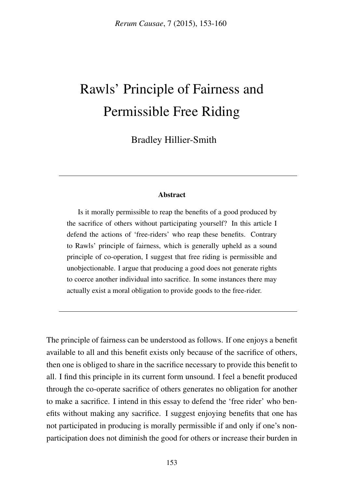# Rawls' Principle of Fairness and Permissible Free Riding

Bradley Hillier-Smith

#### Abstract

Is it morally permissible to reap the benefits of a good produced by the sacrifice of others without participating yourself? In this article I defend the actions of 'free-riders' who reap these benefits. Contrary to Rawls' principle of fairness, which is generally upheld as a sound principle of co-operation, I suggest that free riding is permissible and unobjectionable. I argue that producing a good does not generate rights to coerce another individual into sacrifice. In some instances there may actually exist a moral obligation to provide goods to the free-rider.

The principle of fairness can be understood as follows. If one enjoys a benefit available to all and this benefit exists only because of the sacrifice of others, then one is obliged to share in the sacrifice necessary to provide this benefit to all. I find this principle in its current form unsound. I feel a benefit produced through the co-operate sacrifice of others generates no obligation for another to make a sacrifice. I intend in this essay to defend the 'free rider' who benefits without making any sacrifice. I suggest enjoying benefits that one has not participated in producing is morally permissible if and only if one's nonparticipation does not diminish the good for others or increase their burden in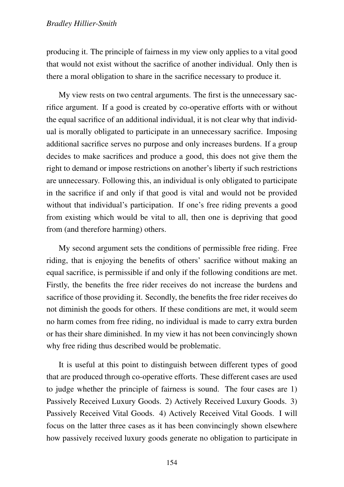producing it. The principle of fairness in my view only applies to a vital good that would not exist without the sacrifice of another individual. Only then is there a moral obligation to share in the sacrifice necessary to produce it.

My view rests on two central arguments. The first is the unnecessary sacrifice argument. If a good is created by co-operative efforts with or without the equal sacrifice of an additional individual, it is not clear why that individual is morally obligated to participate in an unnecessary sacrifice. Imposing additional sacrifice serves no purpose and only increases burdens. If a group decides to make sacrifices and produce a good, this does not give them the right to demand or impose restrictions on another's liberty if such restrictions are unnecessary. Following this, an individual is only obligated to participate in the sacrifice if and only if that good is vital and would not be provided without that individual's participation. If one's free riding prevents a good from existing which would be vital to all, then one is depriving that good from (and therefore harming) others.

My second argument sets the conditions of permissible free riding. Free riding, that is enjoying the benefits of others' sacrifice without making an equal sacrifice, is permissible if and only if the following conditions are met. Firstly, the benefits the free rider receives do not increase the burdens and sacrifice of those providing it. Secondly, the benefits the free rider receives do not diminish the goods for others. If these conditions are met, it would seem no harm comes from free riding, no individual is made to carry extra burden or has their share diminished. In my view it has not been convincingly shown why free riding thus described would be problematic.

It is useful at this point to distinguish between different types of good that are produced through co-operative efforts. These different cases are used to judge whether the principle of fairness is sound. The four cases are 1) Passively Received Luxury Goods. 2) Actively Received Luxury Goods. 3) Passively Received Vital Goods. 4) Actively Received Vital Goods. I will focus on the latter three cases as it has been convincingly shown elsewhere how passively received luxury goods generate no obligation to participate in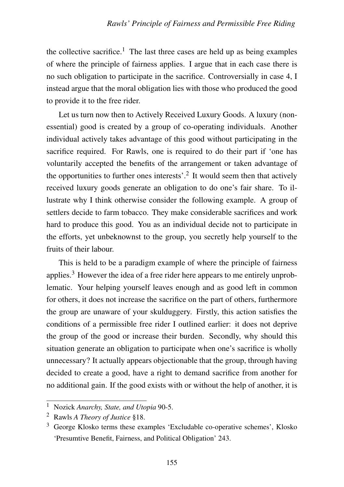the collective sacrifice.<sup>1</sup> The last three cases are held up as being examples of where the principle of fairness applies. I argue that in each case there is no such obligation to participate in the sacrifice. Controversially in case 4, I instead argue that the moral obligation lies with those who produced the good to provide it to the free rider.

Let us turn now then to Actively Received Luxury Goods. A luxury (nonessential) good is created by a group of co-operating individuals. Another individual actively takes advantage of this good without participating in the sacrifice required. For Rawls, one is required to do their part if 'one has voluntarily accepted the benefits of the arrangement or taken advantage of the opportunities to further ones interests'.<sup>2</sup> It would seem then that actively received luxury goods generate an obligation to do one's fair share. To illustrate why I think otherwise consider the following example. A group of settlers decide to farm tobacco. They make considerable sacrifices and work hard to produce this good. You as an individual decide not to participate in the efforts, yet unbeknownst to the group, you secretly help yourself to the fruits of their labour.

This is held to be a paradigm example of where the principle of fairness applies.<sup>3</sup> However the idea of a free rider here appears to me entirely unproblematic. Your helping yourself leaves enough and as good left in common for others, it does not increase the sacrifice on the part of others, furthermore the group are unaware of your skulduggery. Firstly, this action satisfies the conditions of a permissible free rider I outlined earlier: it does not deprive the group of the good or increase their burden. Secondly, why should this situation generate an obligation to participate when one's sacrifice is wholly unnecessary? It actually appears objectionable that the group, through having decided to create a good, have a right to demand sacrifice from another for no additional gain. If the good exists with or without the help of another, it is

<sup>1</sup> Nozick *Anarchy, State, and Utopia* 90-5.

<sup>2</sup> Rawls *A Theory of Justice* §18.

<sup>3</sup> George Klosko terms these examples 'Excludable co-operative schemes', Klosko 'Presumtive Benefit, Fairness, and Political Obligation' 243.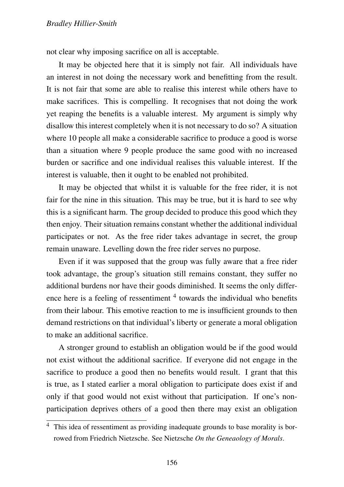not clear why imposing sacrifice on all is acceptable.

It may be objected here that it is simply not fair. All individuals have an interest in not doing the necessary work and benefitting from the result. It is not fair that some are able to realise this interest while others have to make sacrifices. This is compelling. It recognises that not doing the work yet reaping the benefits is a valuable interest. My argument is simply why disallow this interest completely when it is not necessary to do so? A situation where 10 people all make a considerable sacrifice to produce a good is worse than a situation where 9 people produce the same good with no increased burden or sacrifice and one individual realises this valuable interest. If the interest is valuable, then it ought to be enabled not prohibited.

It may be objected that whilst it is valuable for the free rider, it is not fair for the nine in this situation. This may be true, but it is hard to see why this is a significant harm. The group decided to produce this good which they then enjoy. Their situation remains constant whether the additional individual participates or not. As the free rider takes advantage in secret, the group remain unaware. Levelling down the free rider serves no purpose.

Even if it was supposed that the group was fully aware that a free rider took advantage, the group's situation still remains constant, they suffer no additional burdens nor have their goods diminished. It seems the only difference here is a feeling of ressentiment  $4$  towards the individual who benefits from their labour. This emotive reaction to me is insufficient grounds to then demand restrictions on that individual's liberty or generate a moral obligation to make an additional sacrifice.

A stronger ground to establish an obligation would be if the good would not exist without the additional sacrifice. If everyone did not engage in the sacrifice to produce a good then no benefits would result. I grant that this is true, as I stated earlier a moral obligation to participate does exist if and only if that good would not exist without that participation. If one's nonparticipation deprives others of a good then there may exist an obligation

This idea of ressentiment as providing inadequate grounds to base morality is borrowed from Friedrich Nietzsche. See Nietzsche *On the Geneaology of Morals*.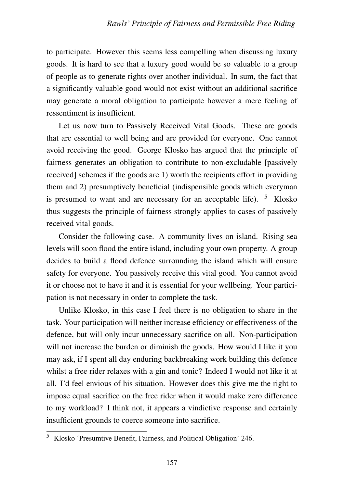to participate. However this seems less compelling when discussing luxury goods. It is hard to see that a luxury good would be so valuable to a group of people as to generate rights over another individual. In sum, the fact that a significantly valuable good would not exist without an additional sacrifice may generate a moral obligation to participate however a mere feeling of ressentiment is insufficient.

Let us now turn to Passively Received Vital Goods. These are goods that are essential to well being and are provided for everyone. One cannot avoid receiving the good. George Klosko has argued that the principle of fairness generates an obligation to contribute to non-excludable [passively received] schemes if the goods are 1) worth the recipients effort in providing them and 2) presumptively beneficial (indispensible goods which everyman is presumed to want and are necessary for an acceptable life).  $5$  Klosko thus suggests the principle of fairness strongly applies to cases of passively received vital goods.

Consider the following case. A community lives on island. Rising sea levels will soon flood the entire island, including your own property. A group decides to build a flood defence surrounding the island which will ensure safety for everyone. You passively receive this vital good. You cannot avoid it or choose not to have it and it is essential for your wellbeing. Your participation is not necessary in order to complete the task.

Unlike Klosko, in this case I feel there is no obligation to share in the task. Your participation will neither increase efficiency or effectiveness of the defence, but will only incur unnecessary sacrifice on all. Non-participation will not increase the burden or diminish the goods. How would I like it you may ask, if I spent all day enduring backbreaking work building this defence whilst a free rider relaxes with a gin and tonic? Indeed I would not like it at all. I'd feel envious of his situation. However does this give me the right to impose equal sacrifice on the free rider when it would make zero difference to my workload? I think not, it appears a vindictive response and certainly insufficient grounds to coerce someone into sacrifice.

<sup>5</sup> Klosko 'Presumtive Benefit, Fairness, and Political Obligation' 246.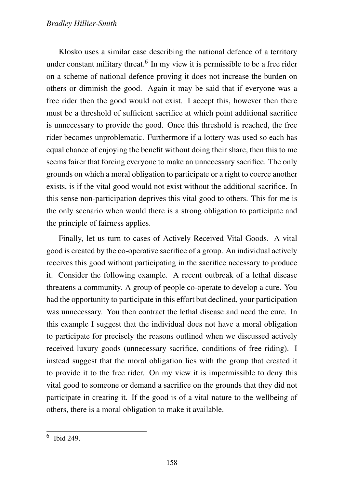### *Bradley Hillier-Smith*

Klosko uses a similar case describing the national defence of a territory under constant military threat.<sup>6</sup> In my view it is permissible to be a free rider on a scheme of national defence proving it does not increase the burden on others or diminish the good. Again it may be said that if everyone was a free rider then the good would not exist. I accept this, however then there must be a threshold of sufficient sacrifice at which point additional sacrifice is unnecessary to provide the good. Once this threshold is reached, the free rider becomes unproblematic. Furthermore if a lottery was used so each has equal chance of enjoying the benefit without doing their share, then this to me seems fairer that forcing everyone to make an unnecessary sacrifice. The only grounds on which a moral obligation to participate or a right to coerce another exists, is if the vital good would not exist without the additional sacrifice. In this sense non-participation deprives this vital good to others. This for me is the only scenario when would there is a strong obligation to participate and the principle of fairness applies.

Finally, let us turn to cases of Actively Received Vital Goods. A vital good is created by the co-operative sacrifice of a group. An individual actively receives this good without participating in the sacrifice necessary to produce it. Consider the following example. A recent outbreak of a lethal disease threatens a community. A group of people co-operate to develop a cure. You had the opportunity to participate in this effort but declined, your participation was unnecessary. You then contract the lethal disease and need the cure. In this example I suggest that the individual does not have a moral obligation to participate for precisely the reasons outlined when we discussed actively received luxury goods (unnecessary sacrifice, conditions of free riding). I instead suggest that the moral obligation lies with the group that created it to provide it to the free rider. On my view it is impermissible to deny this vital good to someone or demand a sacrifice on the grounds that they did not participate in creating it. If the good is of a vital nature to the wellbeing of others, there is a moral obligation to make it available.

<sup>6</sup> Ibid 249.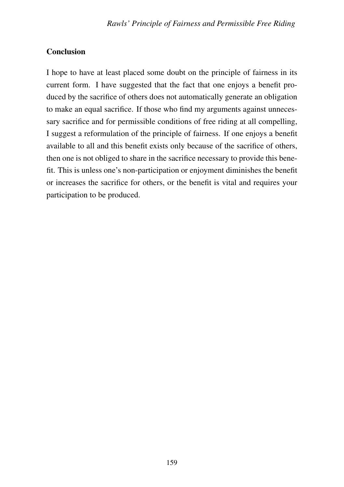## **Conclusion**

I hope to have at least placed some doubt on the principle of fairness in its current form. I have suggested that the fact that one enjoys a benefit produced by the sacrifice of others does not automatically generate an obligation to make an equal sacrifice. If those who find my arguments against unnecessary sacrifice and for permissible conditions of free riding at all compelling, I suggest a reformulation of the principle of fairness. If one enjoys a benefit available to all and this benefit exists only because of the sacrifice of others, then one is not obliged to share in the sacrifice necessary to provide this benefit. This is unless one's non-participation or enjoyment diminishes the benefit or increases the sacrifice for others, or the benefit is vital and requires your participation to be produced.